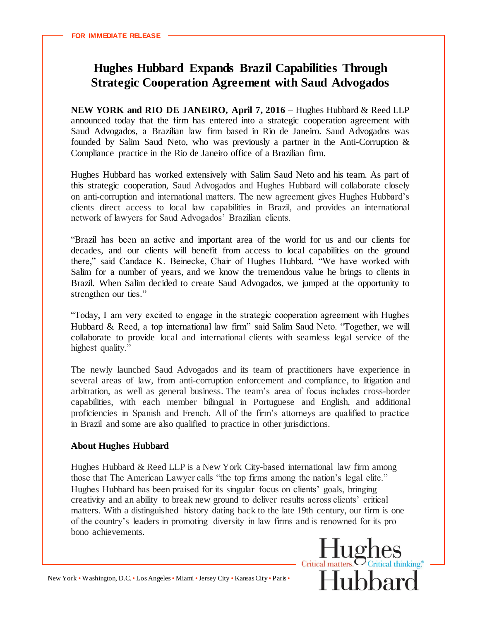## **Hughes Hubbard Expands Brazil Capabilities Through Strategic Cooperation Agreement with Saud Advogados**

**NEW YORK and RIO DE JANEIRO, April 7, 2016 – Hughes Hubbard & Reed LLP** announced today that the firm has entered into a strategic cooperation agreement with Saud Advogados, a Brazilian law firm based in Rio de Janeiro. Saud Advogados was founded by Salim Saud Neto, who was previously a partner in the Anti-Corruption & Compliance practice in the Rio de Janeiro office of a Brazilian firm.

Hughes Hubbard has worked extensively with Salim Saud Neto and his team. As part of this strategic cooperation, Saud Advogados and Hughes Hubbard will collaborate closely on anti-corruption and international matters. The new agreement gives Hughes Hubbard's clients direct access to local law capabilities in Brazil, and provides an international network of lawyers for Saud Advogados' Brazilian clients.

"Brazil has been an active and important area of the world for us and our clients for decades, and our clients will benefit from access to local capabilities on the ground there," said Candace K. Beinecke, Chair of Hughes Hubbard. "We have worked with Salim for a number of years, and we know the tremendous value he brings to clients in Brazil. When Salim decided to create Saud Advogados, we jumped at the opportunity to strengthen our ties."

"Today, I am very excited to engage in the strategic cooperation agreement with Hughes Hubbard & Reed, a top international law firm" said Salim Saud Neto. "Together, we will collaborate to provide local and international clients with seamless legal service of the highest quality."

The newly launched Saud Advogados and its team of practitioners have experience in several areas of law, from anti-corruption enforcement and compliance, to litigation and arbitration, as well as general business. The team's area of focus includes cross-border capabilities, with each member bilingual in Portuguese and English, and additional proficiencies in Spanish and French. All of the firm's attorneys are qualified to practice in Brazil and some are also qualified to practice in other jurisdictions.

## **About Hughes Hubbard**

Hughes Hubbard & Reed LLP is a New York City-based international law firm among those that The American Lawyer calls "the top firms among the nation's legal elite." Hughes Hubbard has been praised for its singular focus on clients' goals, bringing creativity and an ability to break new ground to deliver results across clients' critical matters. With a distinguished history dating back to the late 19th century, our firm is one of the country's leaders in promoting diversity in law firms and is renowned for its pro bono achievements.

 $Hughes$ Critical matters. **Hubbard** 

New York • Washington, D.C. • Los Angeles • Miami • Jersey City • Kansas City • Paris •